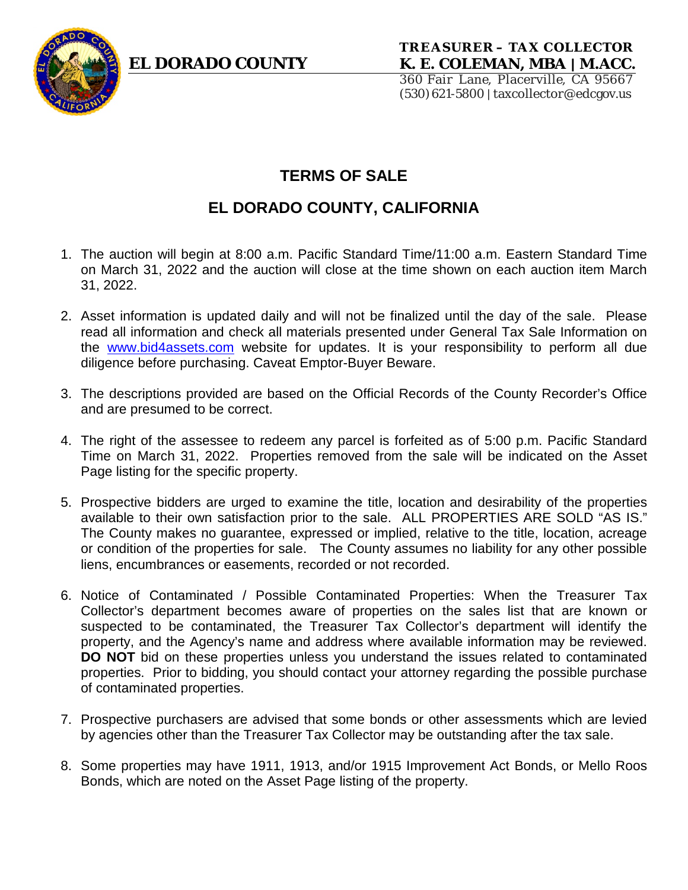

360 Fair Lane, Placerville, CA 95667 (530)621-5800| taxcollector@edcgov.us

# **TERMS OF SALE**

# **EL DORADO COUNTY, CALIFORNIA**

- 1. The auction will begin at 8:00 a.m. Pacific Standard Time/11:00 a.m. Eastern Standard Time on March 31, 2022 and the auction will close at the time shown on each auction item March 31, 2022.
- 2. Asset information is updated daily and will not be finalized until the day of the sale. Please read all information and check all materials presented under General Tax Sale Information on the [www.bid4assets.com](http://www.bid4assets.com/) website for updates. It is your responsibility to perform all due diligence before purchasing. Caveat Emptor-Buyer Beware.
- 3. The descriptions provided are based on the Official Records of the County Recorder's Office and are presumed to be correct.
- 4. The right of the assessee to redeem any parcel is forfeited as of 5:00 p.m. Pacific Standard Time on March 31, 2022. Properties removed from the sale will be indicated on the Asset Page listing for the specific property.
- 5. Prospective bidders are urged to examine the title, location and desirability of the properties available to their own satisfaction prior to the sale. ALL PROPERTIES ARE SOLD "AS IS." The County makes no guarantee, expressed or implied, relative to the title, location, acreage or condition of the properties for sale. The County assumes no liability for any other possible liens, encumbrances or easements, recorded or not recorded.
- 6. Notice of Contaminated / Possible Contaminated Properties: When the Treasurer Tax Collector's department becomes aware of properties on the sales list that are known or suspected to be contaminated, the Treasurer Tax Collector's department will identify the property, and the Agency's name and address where available information may be reviewed. **DO NOT** bid on these properties unless you understand the issues related to contaminated properties. Prior to bidding, you should contact your attorney regarding the possible purchase of contaminated properties.
- 7. Prospective purchasers are advised that some bonds or other assessments which are levied by agencies other than the Treasurer Tax Collector may be outstanding after the tax sale.
- 8. Some properties may have 1911, 1913, and/or 1915 Improvement Act Bonds, or Mello Roos Bonds, which are noted on the Asset Page listing of the property.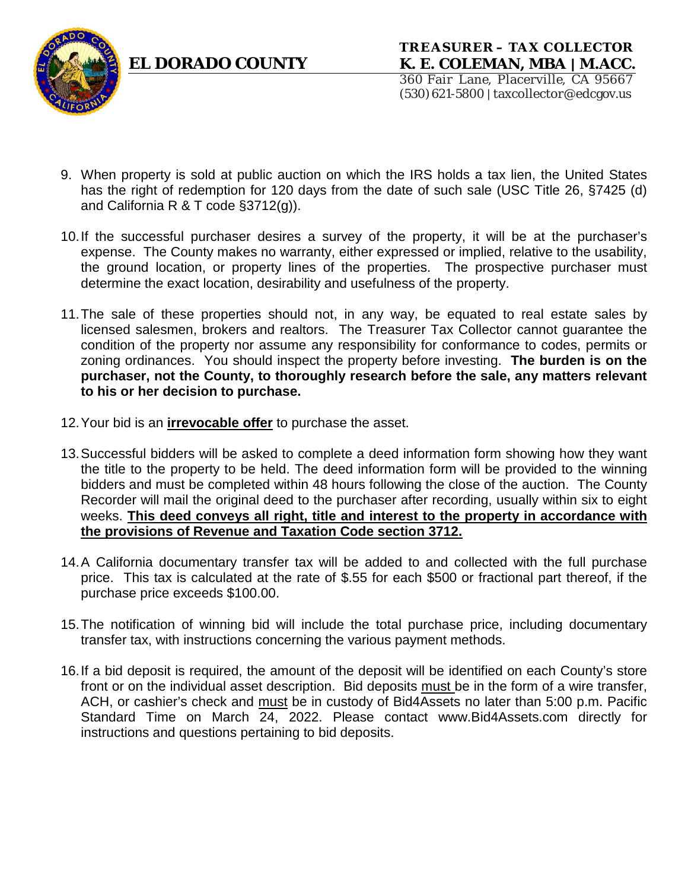



360 Fair Lane, Placerville, CA 95667 (530)621-5800| taxcollector@edcgov.us

- 9. When property is sold at public auction on which the IRS holds a tax lien, the United States has the right of redemption for 120 days from the date of such sale (USC Title 26, §7425 (d) and California R & T code §3712(g)).
- 10.If the successful purchaser desires a survey of the property, it will be at the purchaser's expense. The County makes no warranty, either expressed or implied, relative to the usability, the ground location, or property lines of the properties. The prospective purchaser must determine the exact location, desirability and usefulness of the property.
- 11.The sale of these properties should not, in any way, be equated to real estate sales by licensed salesmen, brokers and realtors. The Treasurer Tax Collector cannot guarantee the condition of the property nor assume any responsibility for conformance to codes, permits or zoning ordinances. You should inspect the property before investing. **The burden is on the purchaser, not the County, to thoroughly research before the sale, any matters relevant to his or her decision to purchase.**
- 12.Your bid is an **irrevocable offer** to purchase the asset.
- 13.Successful bidders will be asked to complete a deed information form showing how they want the title to the property to be held. The deed information form will be provided to the winning bidders and must be completed within 48 hours following the close of the auction. The County Recorder will mail the original deed to the purchaser after recording, usually within six to eight weeks. **This deed conveys all right, title and interest to the property in accordance with the provisions of Revenue and Taxation Code section 3712.**
- 14.A California documentary transfer tax will be added to and collected with the full purchase price. This tax is calculated at the rate of \$.55 for each \$500 or fractional part thereof, if the purchase price exceeds \$100.00.
- 15.The notification of winning bid will include the total purchase price, including documentary transfer tax, with instructions concerning the various payment methods.
- 16.If a bid deposit is required, the amount of the deposit will be identified on each County's store front or on the individual asset description. Bid deposits must be in the form of a wire transfer, ACH, or cashier's check and must be in custody of Bid4Assets no later than 5:00 p.m. Pacific Standard Time on March 24, 2022. Please contact www.Bid4Assets.com directly for instructions and questions pertaining to bid deposits.